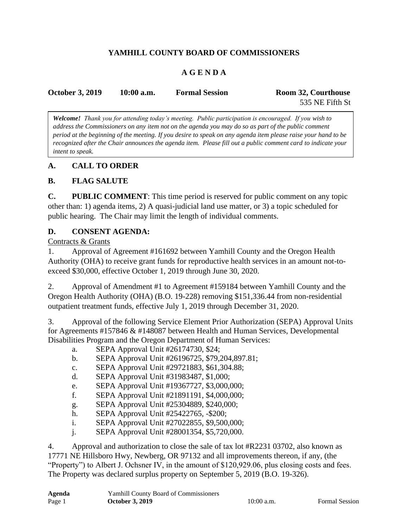# **YAMHILL COUNTY BOARD OF COMMISSIONERS**

## **A G E N D A**

| <b>October 3, 2019</b> | $10:00$ a.m. | <b>Formal Session</b> | Room 32, Courthouse |
|------------------------|--------------|-----------------------|---------------------|
|                        |              |                       | 535 NE Fifth St     |

*Welcome! Thank you for attending today's meeting. Public participation is encouraged. If you wish to address the Commissioners on any item not on the agenda you may do so as part of the public comment period at the beginning of the meeting. If you desire to speak on any agenda item please raise your hand to be recognized after the Chair announces the agenda item. Please fill out a public comment card to indicate your intent to speak.*

### **A. CALL TO ORDER**

#### **B. FLAG SALUTE**

**C. PUBLIC COMMENT**: This time period is reserved for public comment on any topic other than: 1) agenda items, 2) A quasi-judicial land use matter, or 3) a topic scheduled for public hearing. The Chair may limit the length of individual comments.

### **D. CONSENT AGENDA:**

#### Contracts & Grants

1. Approval of Agreement #161692 between Yamhill County and the Oregon Health Authority (OHA) to receive grant funds for reproductive health services in an amount not-toexceed \$30,000, effective October 1, 2019 through June 30, 2020.

2. Approval of Amendment #1 to Agreement #159184 between Yamhill County and the Oregon Health Authority (OHA) (B.O. 19-228) removing \$151,336.44 from non-residential outpatient treatment funds, effective July 1, 2019 through December 31, 2020.

3. Approval of the following Service Element Prior Authorization (SEPA) Approval Units for Agreements #157846 & #148087 between Health and Human Services, Developmental Disabilities Program and the Oregon Department of Human Services:

- a. SEPA Approval Unit #26174730, \$24;
- b. SEPA Approval Unit #26196725, \$79,204,897.81;
- c. SEPA Approval Unit #29721883, \$61,304.88;
- d. SEPA Approval Unit #31983487, \$1,000;
- e. SEPA Approval Unit #19367727, \$3,000,000;
- f. SEPA Approval Unit #21891191, \$4,000,000;
- g. SEPA Approval Unit #25304889, \$240,000;
- h. SEPA Approval Unit #25422765, -\$200;
- i. SEPA Approval Unit #27022855, \$9,500,000;
- j. SEPA Approval Unit #28001354, \$5,720,000.

4. Approval and authorization to close the sale of tax lot #R2231 03702, also known as 17771 NE Hillsboro Hwy, Newberg, OR 97132 and all improvements thereon, if any, (the "Property") to Albert J. Ochsner IV, in the amount of \$120,929.06, plus closing costs and fees. The Property was declared surplus property on September 5, 2019 (B.O. 19-326).

| Agenda | <b>Yamhill County Board of Commissioners</b> |
|--------|----------------------------------------------|
| Page 1 | <b>October 3, 2019</b>                       |